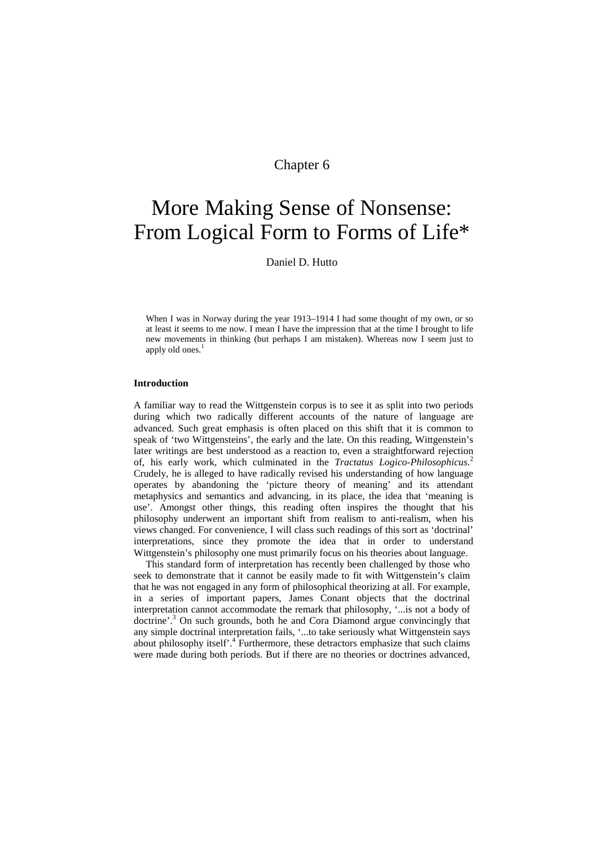# Chapter 6

# More Making Sense of Nonsense: From Logical Form to Forms of Life\*

Daniel D. Hutto

When I was in Norway during the year 1913–1914 I had some thought of my own, or so at least it seems to me now. I mean I have the impression that at the time I brought to life new movements in thinking (but perhaps I am mistaken). Whereas now I seem just to apply old ones. $<sup>1</sup>$ </sup>

# **Introduction**

A familiar way to read the Wittgenstein corpus is to see it as split into two periods during which two radically different accounts of the nature of language are advanced. Such great emphasis is often placed on this shift that it is common to speak of 'two Wittgensteins', the early and the late. On this reading, Wittgenstein's later writings are best understood as a reaction to, even a straightforward rejection of, his early work, which culminated in the *Tractatus Logico-Philosophicus*. 2 Crudely, he is alleged to have radically revised his understanding of how language operates by abandoning the 'picture theory of meaning' and its attendant metaphysics and semantics and advancing, in its place, the idea that 'meaning is use'. Amongst other things, this reading often inspires the thought that his philosophy underwent an important shift from realism to anti-realism, when his views changed. For convenience, I will class such readings of this sort as 'doctrinal' interpretations, since they promote the idea that in order to understand Wittgenstein's philosophy one must primarily focus on his theories about language.

 This standard form of interpretation has recently been challenged by those who seek to demonstrate that it cannot be easily made to fit with Wittgenstein's claim that he was not engaged in any form of philosophical theorizing at all. For example, in a series of important papers, James Conant objects that the doctrinal interpretation cannot accommodate the remark that philosophy, '...is not a body of doctrine'.<sup>3</sup> On such grounds, both he and Cora Diamond argue convincingly that any simple doctrinal interpretation fails, '...to take seriously what Wittgenstein says about philosophy itself'.<sup>4</sup> Furthermore, these detractors emphasize that such claims were made during both periods. But if there are no theories or doctrines advanced,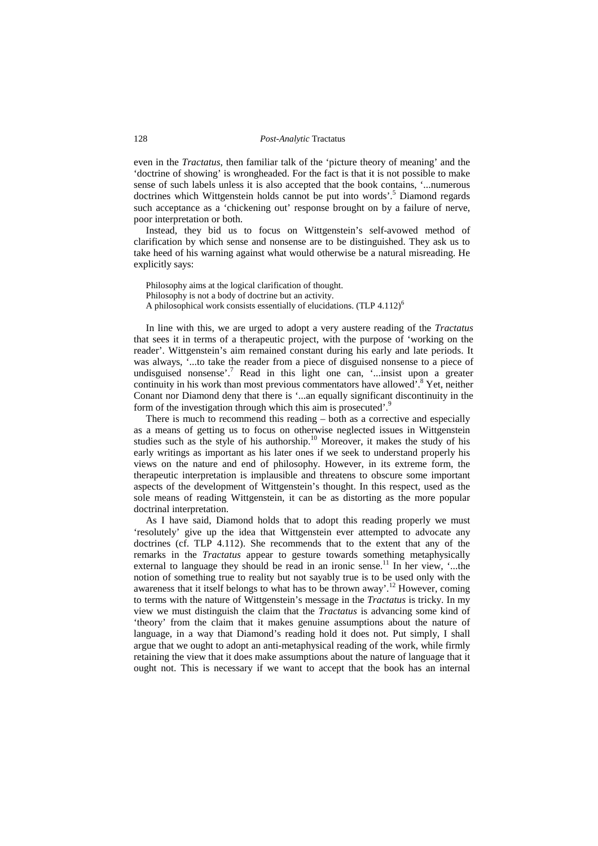even in the *Tractatus,* then familiar talk of the 'picture theory of meaning' and the 'doctrine of showing' is wrongheaded. For the fact is that it is not possible to make sense of such labels unless it is also accepted that the book contains, '...numerous doctrines which Wittgenstein holds cannot be put into words'.<sup>5</sup> Diamond regards such acceptance as a 'chickening out' response brought on by a failure of nerve, poor interpretation or both.

 Instead, they bid us to focus on Wittgenstein's self-avowed method of clarification by which sense and nonsense are to be distinguished. They ask us to take heed of his warning against what would otherwise be a natural misreading. He explicitly says:

Philosophy aims at the logical clarification of thought. Philosophy is not a body of doctrine but an activity. A philosophical work consists essentially of elucidations.  $(TLP 4.112)^6$ 

 In line with this, we are urged to adopt a very austere reading of the *Tractatus*  that sees it in terms of a therapeutic project, with the purpose of 'working on the reader'. Wittgenstein's aim remained constant during his early and late periods. It was always, '...to take the reader from a piece of disguised nonsense to a piece of undisguised nonsense'.<sup>7</sup> Read in this light one can, '...insist upon a greater continuity in his work than most previous commentators have allowed'.<sup>8</sup> Yet, neither Conant nor Diamond deny that there is '...an equally significant discontinuity in the form of the investigation through which this aim is prosecuted'.<sup>9</sup>

 There is much to recommend this reading – both as a corrective and especially as a means of getting us to focus on otherwise neglected issues in Wittgenstein studies such as the style of his authorship.10 Moreover, it makes the study of his early writings as important as his later ones if we seek to understand properly his views on the nature and end of philosophy. However, in its extreme form, the therapeutic interpretation is implausible and threatens to obscure some important aspects of the development of Wittgenstein's thought. In this respect, used as the sole means of reading Wittgenstein, it can be as distorting as the more popular doctrinal interpretation.

 As I have said, Diamond holds that to adopt this reading properly we must 'resolutely' give up the idea that Wittgenstein ever attempted to advocate any doctrines (cf. TLP 4.112). She recommends that to the extent that any of the remarks in the *Tractatus* appear to gesture towards something metaphysically external to language they should be read in an ironic sense.<sup>11</sup> In her view, '...the notion of something true to reality but not sayably true is to be used only with the awareness that it itself belongs to what has to be thrown away'.12 However, coming to terms with the nature of Wittgenstein's message in the *Tractatus* is tricky. In my view we must distinguish the claim that the *Tractatus* is advancing some kind of 'theory' from the claim that it makes genuine assumptions about the nature of language, in a way that Diamond's reading hold it does not. Put simply, I shall argue that we ought to adopt an anti-metaphysical reading of the work, while firmly retaining the view that it does make assumptions about the nature of language that it ought not. This is necessary if we want to accept that the book has an internal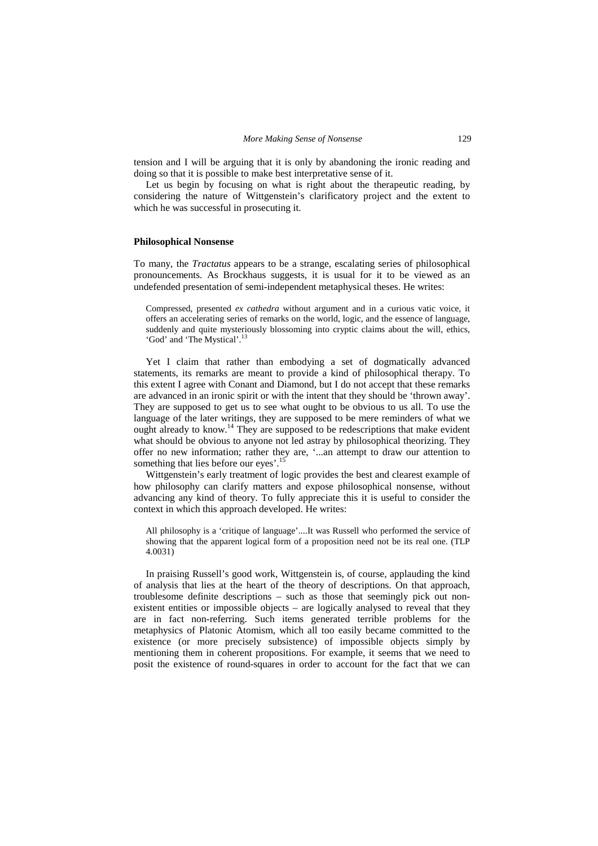tension and I will be arguing that it is only by abandoning the ironic reading and doing so that it is possible to make best interpretative sense of it.

 Let us begin by focusing on what is right about the therapeutic reading, by considering the nature of Wittgenstein's clarificatory project and the extent to which he was successful in prosecuting it.

#### **Philosophical Nonsense**

To many, the *Tractatus* appears to be a strange, escalating series of philosophical pronouncements. As Brockhaus suggests, it is usual for it to be viewed as an undefended presentation of semi-independent metaphysical theses. He writes:

Compressed, presented *ex cathedra* without argument and in a curious vatic voice, it offers an accelerating series of remarks on the world, logic, and the essence of language, suddenly and quite mysteriously blossoming into cryptic claims about the will, ethics, 'God' and 'The Mystical'.<sup>13</sup>

 Yet I claim that rather than embodying a set of dogmatically advanced statements, its remarks are meant to provide a kind of philosophical therapy. To this extent I agree with Conant and Diamond, but I do not accept that these remarks are advanced in an ironic spirit or with the intent that they should be 'thrown away'. They are supposed to get us to see what ought to be obvious to us all. To use the language of the later writings, they are supposed to be mere reminders of what we ought already to know.<sup>14</sup> They are supposed to be redescriptions that make evident what should be obvious to anyone not led astray by philosophical theorizing. They offer no new information; rather they are, '...an attempt to draw our attention to something that lies before our eyes'.<sup>15</sup>

 Wittgenstein's early treatment of logic provides the best and clearest example of how philosophy can clarify matters and expose philosophical nonsense, without advancing any kind of theory. To fully appreciate this it is useful to consider the context in which this approach developed. He writes:

All philosophy is a 'critique of language'....It was Russell who performed the service of showing that the apparent logical form of a proposition need not be its real one. (TLP 4.0031)

 In praising Russell's good work, Wittgenstein is, of course, applauding the kind of analysis that lies at the heart of the theory of descriptions. On that approach, troublesome definite descriptions – such as those that seemingly pick out nonexistent entities or impossible objects – are logically analysed to reveal that they are in fact non-referring. Such items generated terrible problems for the metaphysics of Platonic Atomism, which all too easily became committed to the existence (or more precisely subsistence) of impossible objects simply by mentioning them in coherent propositions. For example, it seems that we need to posit the existence of round-squares in order to account for the fact that we can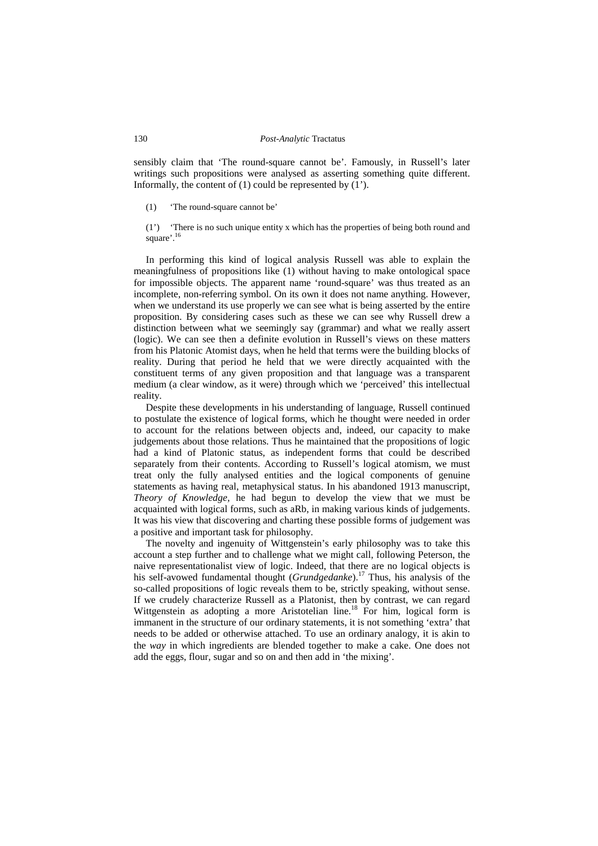sensibly claim that 'The round-square cannot be'. Famously, in Russell's later writings such propositions were analysed as asserting something quite different. Informally, the content of (1) could be represented by (1').

(1) 'The round-square cannot be'

(1') 'There is no such unique entity x which has the properties of being both round and square'.<sup>16</sup>

 In performing this kind of logical analysis Russell was able to explain the meaningfulness of propositions like (1) without having to make ontological space for impossible objects. The apparent name 'round-square' was thus treated as an incomplete, non-referring symbol. On its own it does not name anything. However, when we understand its use properly we can see what is being asserted by the entire proposition. By considering cases such as these we can see why Russell drew a distinction between what we seemingly say (grammar) and what we really assert (logic). We can see then a definite evolution in Russell's views on these matters from his Platonic Atomist days, when he held that terms were the building blocks of reality. During that period he held that we were directly acquainted with the constituent terms of any given proposition and that language was a transparent medium (a clear window, as it were) through which we 'perceived' this intellectual reality.

 Despite these developments in his understanding of language, Russell continued to postulate the existence of logical forms, which he thought were needed in order to account for the relations between objects and, indeed, our capacity to make judgements about those relations. Thus he maintained that the propositions of logic had a kind of Platonic status, as independent forms that could be described separately from their contents. According to Russell's logical atomism, we must treat only the fully analysed entities and the logical components of genuine statements as having real, metaphysical status. In his abandoned 1913 manuscript, *Theory of Knowledge,* he had begun to develop the view that we must be acquainted with logical forms, such as aRb, in making various kinds of judgements. It was his view that discovering and charting these possible forms of judgement was a positive and important task for philosophy.

 The novelty and ingenuity of Wittgenstein's early philosophy was to take this account a step further and to challenge what we might call, following Peterson, the naive representationalist view of logic. Indeed, that there are no logical objects is his self-avowed fundamental thought (*Grundgedanke*).<sup>17</sup> Thus, his analysis of the so-called propositions of logic reveals them to be, strictly speaking, without sense. If we crudely characterize Russell as a Platonist, then by contrast, we can regard Wittgenstein as adopting a more Aristotelian line.<sup>18</sup> For him, logical form is immanent in the structure of our ordinary statements, it is not something 'extra' that needs to be added or otherwise attached. To use an ordinary analogy, it is akin to the *way* in which ingredients are blended together to make a cake. One does not add the eggs, flour, sugar and so on and then add in 'the mixing'.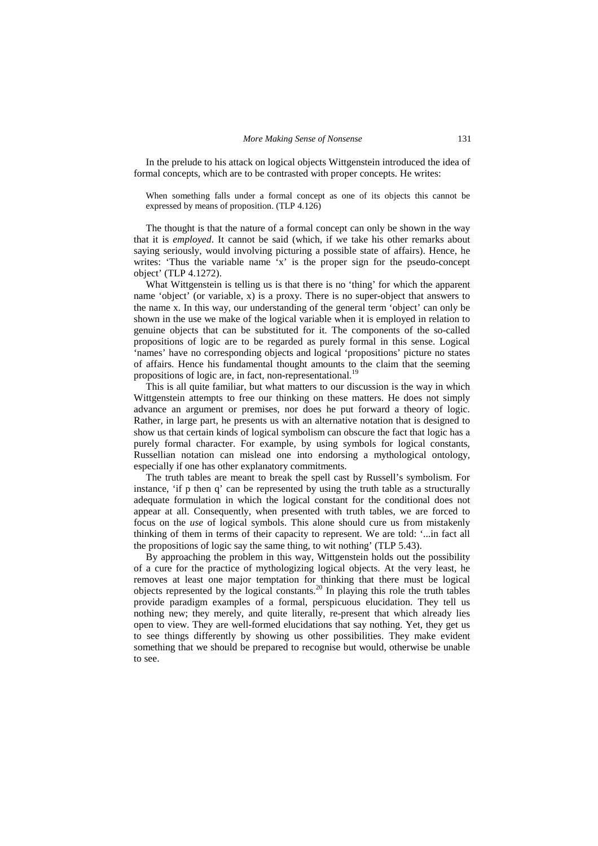In the prelude to his attack on logical objects Wittgenstein introduced the idea of formal concepts, which are to be contrasted with proper concepts. He writes:

When something falls under a formal concept as one of its objects this cannot be expressed by means of proposition. (TLP 4.126)

 The thought is that the nature of a formal concept can only be shown in the way that it is *employed*. It cannot be said (which, if we take his other remarks about saying seriously, would involving picturing a possible state of affairs). Hence, he writes: 'Thus the variable name 'x' is the proper sign for the pseudo-concept object' (TLP 4.1272).

 What Wittgenstein is telling us is that there is no 'thing' for which the apparent name 'object' (or variable, x) is a proxy. There is no super-object that answers to the name x. In this way, our understanding of the general term 'object' can only be shown in the use we make of the logical variable when it is employed in relation to genuine objects that can be substituted for it. The components of the so-called propositions of logic are to be regarded as purely formal in this sense. Logical 'names' have no corresponding objects and logical 'propositions' picture no states of affairs. Hence his fundamental thought amounts to the claim that the seeming propositions of logic are, in fact, non-representational.<sup>19</sup>

 This is all quite familiar, but what matters to our discussion is the way in which Wittgenstein attempts to free our thinking on these matters. He does not simply advance an argument or premises, nor does he put forward a theory of logic. Rather, in large part, he presents us with an alternative notation that is designed to show us that certain kinds of logical symbolism can obscure the fact that logic has a purely formal character. For example, by using symbols for logical constants, Russellian notation can mislead one into endorsing a mythological ontology, especially if one has other explanatory commitments.

 The truth tables are meant to break the spell cast by Russell's symbolism. For instance, 'if p then q' can be represented by using the truth table as a structurally adequate formulation in which the logical constant for the conditional does not appear at all. Consequently, when presented with truth tables, we are forced to focus on the *use* of logical symbols. This alone should cure us from mistakenly thinking of them in terms of their capacity to represent. We are told: '...in fact all the propositions of logic say the same thing, to wit nothing' (TLP 5.43).

 By approaching the problem in this way, Wittgenstein holds out the possibility of a cure for the practice of mythologizing logical objects. At the very least, he removes at least one major temptation for thinking that there must be logical objects represented by the logical constants.20 In playing this role the truth tables provide paradigm examples of a formal, perspicuous elucidation. They tell us nothing new; they merely, and quite literally, re-present that which already lies open to view. They are well-formed elucidations that say nothing. Yet, they get us to see things differently by showing us other possibilities. They make evident something that we should be prepared to recognise but would, otherwise be unable to see.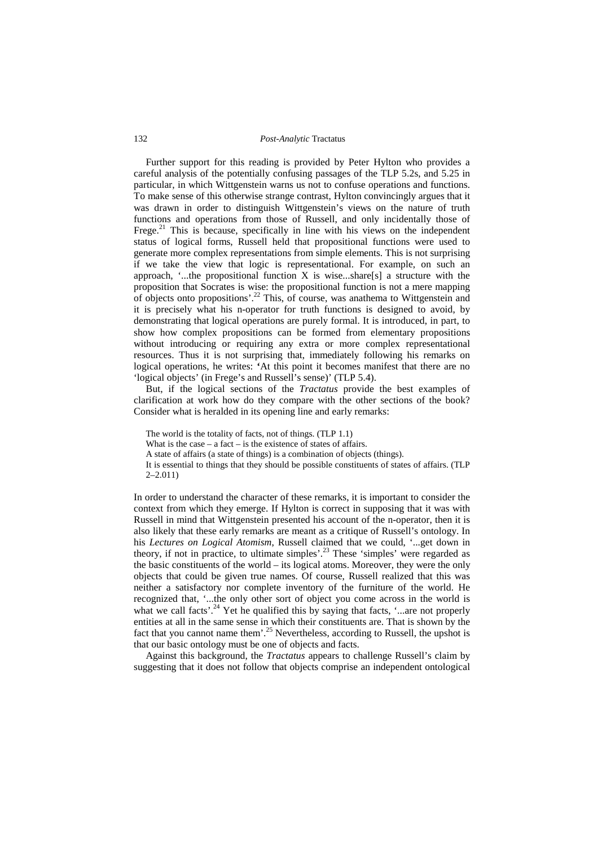Further support for this reading is provided by Peter Hylton who provides a careful analysis of the potentially confusing passages of the TLP 5.2s, and 5.25 in particular, in which Wittgenstein warns us not to confuse operations and functions. To make sense of this otherwise strange contrast, Hylton convincingly argues that it was drawn in order to distinguish Wittgenstein's views on the nature of truth functions and operations from those of Russell, and only incidentally those of Frege.<sup>21</sup> This is because, specifically in line with his views on the independent status of logical forms, Russell held that propositional functions were used to generate more complex representations from simple elements. This is not surprising if we take the view that logic is representational. For example, on such an approach, '...the propositional function  $X$  is wise...share[s] a structure with the proposition that Socrates is wise: the propositional function is not a mere mapping of objects onto propositions'.<sup>22</sup> This, of course, was anathema to Wittgenstein and it is precisely what his n-operator for truth functions is designed to avoid, by demonstrating that logical operations are purely formal. It is introduced, in part, to show how complex propositions can be formed from elementary propositions without introducing or requiring any extra or more complex representational resources. Thus it is not surprising that, immediately following his remarks on logical operations, he writes: **'**At this point it becomes manifest that there are no 'logical objects' (in Frege's and Russell's sense)' (TLP 5.4).

 But, if the logical sections of the *Tractatus* provide the best examples of clarification at work how do they compare with the other sections of the book? Consider what is heralded in its opening line and early remarks:

The world is the totality of facts, not of things. (TLP 1.1)

What is the case  $-$  a fact  $-$  is the existence of states of affairs.

A state of affairs (a state of things) is a combination of objects (things).

It is essential to things that they should be possible constituents of states of affairs. (TLP 2–2.011)

In order to understand the character of these remarks, it is important to consider the context from which they emerge. If Hylton is correct in supposing that it was with Russell in mind that Wittgenstein presented his account of the n-operator, then it is also likely that these early remarks are meant as a critique of Russell's ontology. In his *Lectures on Logical Atomism*, Russell claimed that we could, '...get down in theory, if not in practice, to ultimate simples'.<sup>23</sup> These 'simples' were regarded as the basic constituents of the world – its logical atoms. Moreover, they were the only objects that could be given true names. Of course, Russell realized that this was neither a satisfactory nor complete inventory of the furniture of the world. He recognized that, '...the only other sort of object you come across in the world is what we call facts'.<sup>24</sup> Yet he qualified this by saying that facts, '...are not properly entities at all in the same sense in which their constituents are. That is shown by the fact that you cannot name them'.<sup>25</sup> Nevertheless, according to Russell, the upshot is that our basic ontology must be one of objects and facts.

 Against this background, the *Tractatus* appears to challenge Russell's claim by suggesting that it does not follow that objects comprise an independent ontological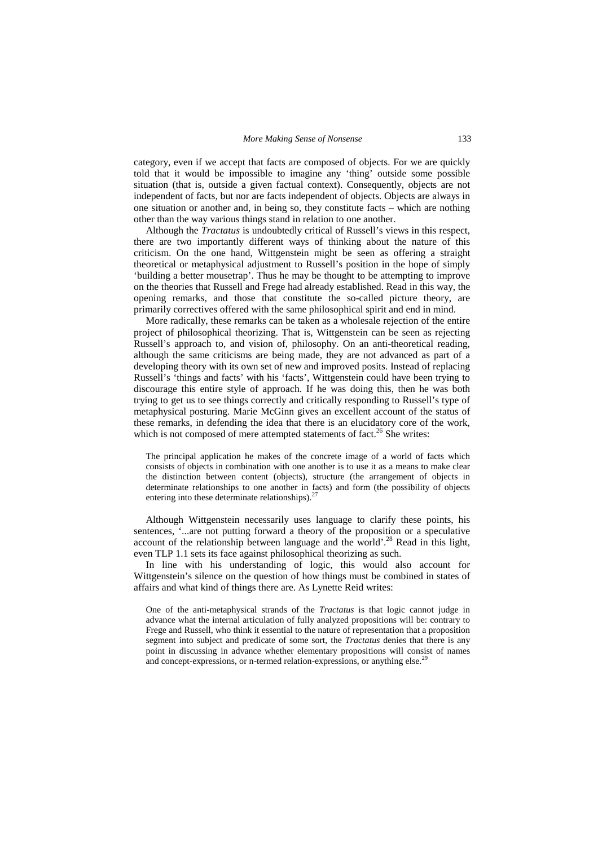category, even if we accept that facts are composed of objects. For we are quickly told that it would be impossible to imagine any 'thing' outside some possible situation (that is, outside a given factual context). Consequently, objects are not independent of facts, but nor are facts independent of objects. Objects are always in one situation or another and, in being so, they constitute facts – which are nothing other than the way various things stand in relation to one another.

 Although the *Tractatus* is undoubtedly critical of Russell's views in this respect, there are two importantly different ways of thinking about the nature of this criticism. On the one hand, Wittgenstein might be seen as offering a straight theoretical or metaphysical adjustment to Russell's position in the hope of simply 'building a better mousetrap'. Thus he may be thought to be attempting to improve on the theories that Russell and Frege had already established. Read in this way, the opening remarks, and those that constitute the so-called picture theory, are primarily correctives offered with the same philosophical spirit and end in mind.

 More radically, these remarks can be taken as a wholesale rejection of the entire project of philosophical theorizing. That is, Wittgenstein can be seen as rejecting Russell's approach to, and vision of, philosophy. On an anti-theoretical reading, although the same criticisms are being made, they are not advanced as part of a developing theory with its own set of new and improved posits. Instead of replacing Russell's 'things and facts' with his 'facts', Wittgenstein could have been trying to discourage this entire style of approach. If he was doing this, then he was both trying to get us to see things correctly and critically responding to Russell's type of metaphysical posturing. Marie McGinn gives an excellent account of the status of these remarks, in defending the idea that there is an elucidatory core of the work, which is not composed of mere attempted statements of fact.<sup>26</sup> She writes:

The principal application he makes of the concrete image of a world of facts which consists of objects in combination with one another is to use it as a means to make clear the distinction between content (objects), structure (the arrangement of objects in determinate relationships to one another in facts) and form (the possibility of objects entering into these determinate relationships). $^{2}$ 

 Although Wittgenstein necessarily uses language to clarify these points, his sentences, '...are not putting forward a theory of the proposition or a speculative account of the relationship between language and the world'.<sup>28</sup> Read in this light, even TLP 1.1 sets its face against philosophical theorizing as such.

 In line with his understanding of logic, this would also account for Wittgenstein's silence on the question of how things must be combined in states of affairs and what kind of things there are. As Lynette Reid writes:

One of the anti-metaphysical strands of the *Tractatus* is that logic cannot judge in advance what the internal articulation of fully analyzed propositions will be: contrary to Frege and Russell, who think it essential to the nature of representation that a proposition segment into subject and predicate of some sort, the *Tractatus* denies that there is any point in discussing in advance whether elementary propositions will consist of names and concept-expressions, or n-termed relation-expressions, or anything else.<sup>2</sup>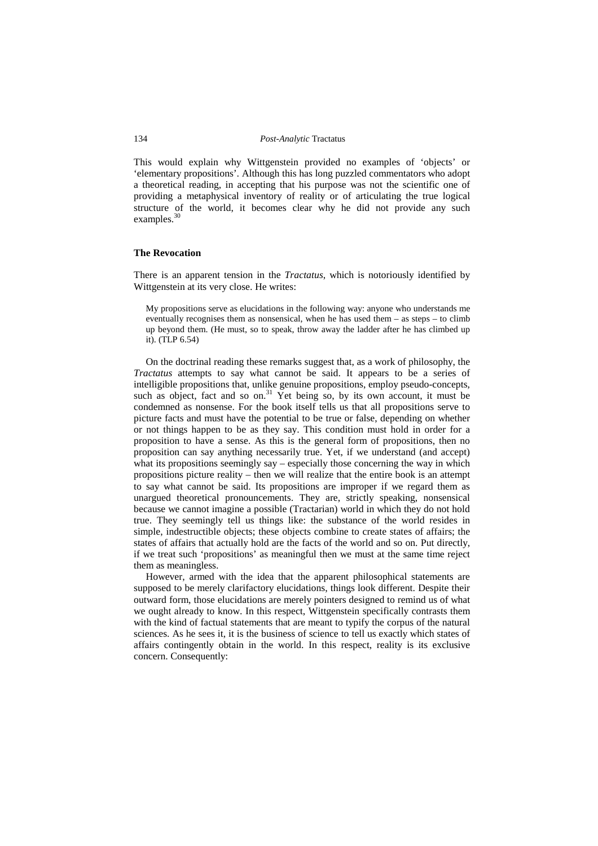This would explain why Wittgenstein provided no examples of 'objects' or 'elementary propositions'. Although this has long puzzled commentators who adopt a theoretical reading, in accepting that his purpose was not the scientific one of providing a metaphysical inventory of reality or of articulating the true logical structure of the world, it becomes clear why he did not provide any such examples.<sup>30</sup>

#### **The Revocation**

There is an apparent tension in the *Tractatus*, which is notoriously identified by Wittgenstein at its very close. He writes:

My propositions serve as elucidations in the following way: anyone who understands me eventually recognises them as nonsensical, when he has used them  $-$  as steps  $-$  to climb up beyond them. (He must, so to speak, throw away the ladder after he has climbed up it). (TLP 6.54)

 On the doctrinal reading these remarks suggest that, as a work of philosophy, the *Tractatus* attempts to say what cannot be said. It appears to be a series of intelligible propositions that, unlike genuine propositions, employ pseudo-concepts, such as object, fact and so on. $31$  Yet being so, by its own account, it must be condemned as nonsense. For the book itself tells us that all propositions serve to picture facts and must have the potential to be true or false, depending on whether or not things happen to be as they say. This condition must hold in order for a proposition to have a sense. As this is the general form of propositions, then no proposition can say anything necessarily true. Yet, if we understand (and accept) what its propositions seemingly say – especially those concerning the way in which propositions picture reality – then we will realize that the entire book is an attempt to say what cannot be said. Its propositions are improper if we regard them as unargued theoretical pronouncements. They are, strictly speaking, nonsensical because we cannot imagine a possible (Tractarian) world in which they do not hold true. They seemingly tell us things like: the substance of the world resides in simple, indestructible objects; these objects combine to create states of affairs; the states of affairs that actually hold are the facts of the world and so on. Put directly, if we treat such 'propositions' as meaningful then we must at the same time reject them as meaningless.

 However, armed with the idea that the apparent philosophical statements are supposed to be merely clarifactory elucidations, things look different. Despite their outward form, those elucidations are merely pointers designed to remind us of what we ought already to know. In this respect, Wittgenstein specifically contrasts them with the kind of factual statements that are meant to typify the corpus of the natural sciences. As he sees it, it is the business of science to tell us exactly which states of affairs contingently obtain in the world. In this respect, reality is its exclusive concern. Consequently: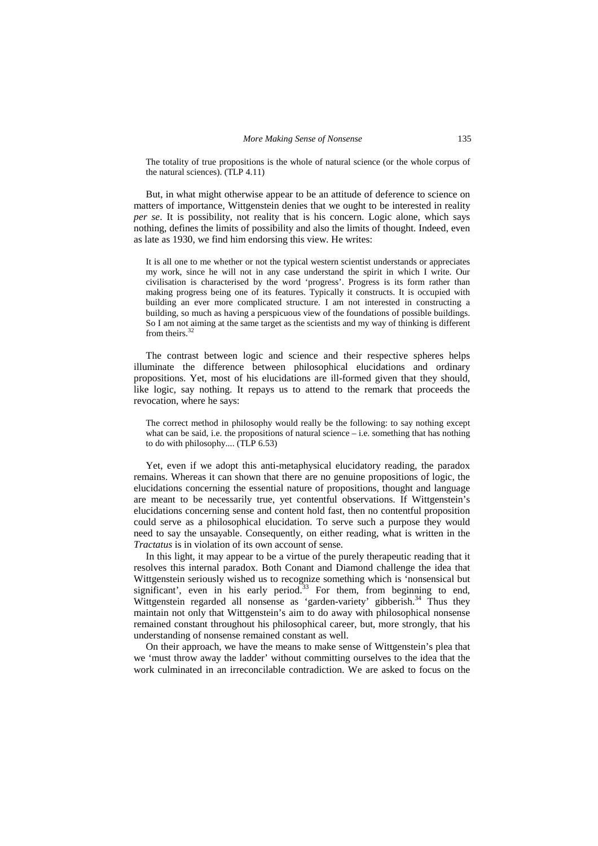The totality of true propositions is the whole of natural science (or the whole corpus of the natural sciences). (TLP 4.11)

 But, in what might otherwise appear to be an attitude of deference to science on matters of importance, Wittgenstein denies that we ought to be interested in reality *per se*. It is possibility, not reality that is his concern. Logic alone, which says nothing, defines the limits of possibility and also the limits of thought. Indeed, even as late as 1930, we find him endorsing this view. He writes:

It is all one to me whether or not the typical western scientist understands or appreciates my work, since he will not in any case understand the spirit in which I write. Our civilisation is characterised by the word 'progress'. Progress is its form rather than making progress being one of its features. Typically it constructs. It is occupied with building an ever more complicated structure. I am not interested in constructing a building, so much as having a perspicuous view of the foundations of possible buildings. So I am not aiming at the same target as the scientists and my way of thinking is different from theirs. $\frac{3}{2}$ 

 The contrast between logic and science and their respective spheres helps illuminate the difference between philosophical elucidations and ordinary propositions. Yet, most of his elucidations are ill-formed given that they should, like logic, say nothing. It repays us to attend to the remark that proceeds the revocation, where he says:

The correct method in philosophy would really be the following: to say nothing except what can be said, i.e. the propositions of natural science  $-$  i.e. something that has nothing to do with philosophy.... (TLP 6.53)

 Yet, even if we adopt this anti-metaphysical elucidatory reading, the paradox remains. Whereas it can shown that there are no genuine propositions of logic, the elucidations concerning the essential nature of propositions, thought and language are meant to be necessarily true, yet contentful observations. If Wittgenstein's elucidations concerning sense and content hold fast, then no contentful proposition could serve as a philosophical elucidation. To serve such a purpose they would need to say the unsayable. Consequently, on either reading, what is written in the *Tractatus* is in violation of its own account of sense*.* 

 In this light, it may appear to be a virtue of the purely therapeutic reading that it resolves this internal paradox. Both Conant and Diamond challenge the idea that Wittgenstein seriously wished us to recognize something which is 'nonsensical but significant', even in his early period.<sup>33</sup> For them, from beginning to end, Wittgenstein regarded all nonsense as 'garden-variety' gibberish.<sup>34</sup> Thus they maintain not only that Wittgenstein's aim to do away with philosophical nonsense remained constant throughout his philosophical career, but, more strongly, that his understanding of nonsense remained constant as well.

 On their approach, we have the means to make sense of Wittgenstein's plea that we 'must throw away the ladder' without committing ourselves to the idea that the work culminated in an irreconcilable contradiction. We are asked to focus on the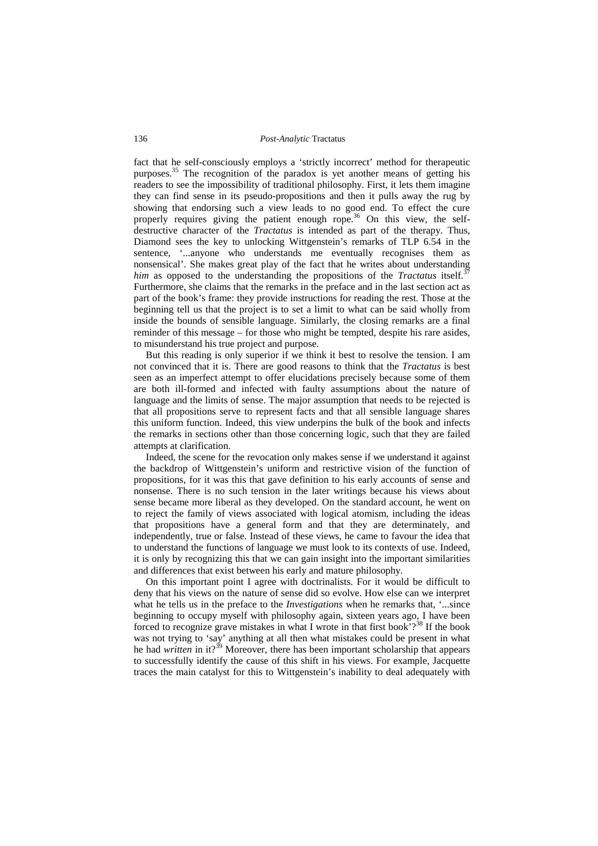fact that he self-consciously employs a 'strictly incorrect' method for therapeutic purposes.35 The recognition of the paradox is yet another means of getting his readers to see the impossibility of traditional philosophy. First, it lets them imagine they can find sense in its pseudo-propositions and then it pulls away the rug by showing that endorsing such a view leads to no good end. To effect the cure properly requires giving the patient enough rope.<sup>36</sup> On this view, the selfdestructive character of the *Tractatus* is intended as part of the therapy. Thus, Diamond sees the key to unlocking Wittgenstein's remarks of TLP 6.54 in the sentence, '...anyone who understands me eventually recognises them as nonsensical'. She makes great play of the fact that he writes about understanding *him* as opposed to the understanding the propositions of the *Tractatus* itself. Furthermore, she claims that the remarks in the preface and in the last section act as part of the book's frame: they provide instructions for reading the rest. Those at the beginning tell us that the project is to set a limit to what can be said wholly from inside the bounds of sensible language. Similarly, the closing remarks are a final reminder of this message – for those who might be tempted, despite his rare asides, to misunderstand his true project and purpose.

 But this reading is only superior if we think it best to resolve the tension. I am not convinced that it is. There are good reasons to think that the *Tractatus* is best seen as an imperfect attempt to offer elucidations precisely because some of them are both ill-formed and infected with faulty assumptions about the nature of language and the limits of sense. The major assumption that needs to be rejected is that all propositions serve to represent facts and that all sensible language shares this uniform function. Indeed, this view underpins the bulk of the book and infects the remarks in sections other than those concerning logic, such that they are failed attempts at clarification.

 Indeed, the scene for the revocation only makes sense if we understand it against the backdrop of Wittgenstein's uniform and restrictive vision of the function of propositions, for it was this that gave definition to his early accounts of sense and nonsense. There is no such tension in the later writings because his views about sense became more liberal as they developed. On the standard account, he went on to reject the family of views associated with logical atomism, including the ideas that propositions have a general form and that they are determinately, and independently, true or false. Instead of these views, he came to favour the idea that to understand the functions of language we must look to its contexts of use. Indeed, it is only by recognizing this that we can gain insight into the important similarities and differences that exist between his early and mature philosophy.

 On this important point I agree with doctrinalists. For it would be difficult to deny that his views on the nature of sense did so evolve. How else can we interpret what he tells us in the preface to the *Investigations* when he remarks that, '...since beginning to occupy myself with philosophy again, sixteen years ago, I have been forced to recognize grave mistakes in what I wrote in that first book'?<sup>38</sup> If the book was not trying to 'say' anything at all then what mistakes could be present in what he had *written* in it?<sup>39</sup> Moreover, there has been important scholarship that appears to successfully identify the cause of this shift in his views. For example, Jacquette traces the main catalyst for this to Wittgenstein's inability to deal adequately with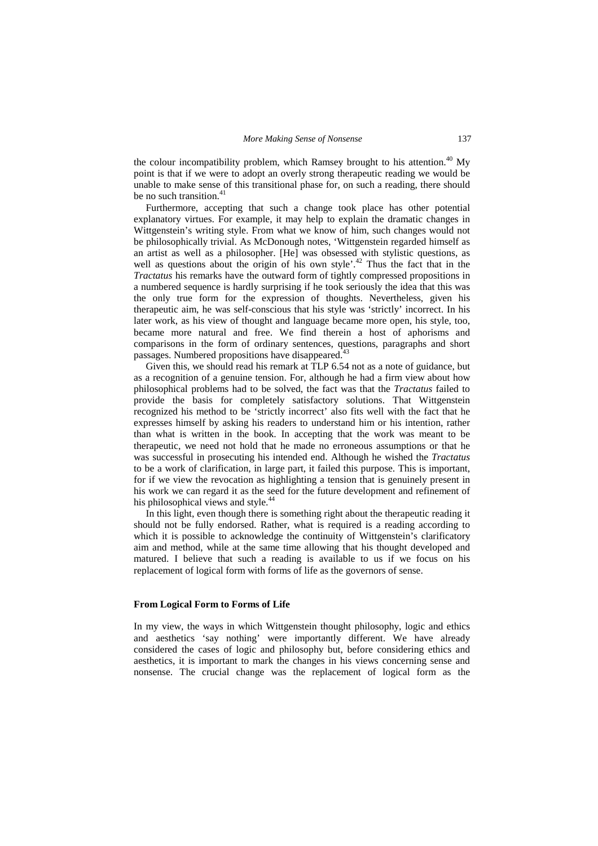the colour incompatibility problem, which Ramsey brought to his attention.<sup>40</sup> My point is that if we were to adopt an overly strong therapeutic reading we would be unable to make sense of this transitional phase for, on such a reading, there should be no such transition.<sup>41</sup>

 Furthermore, accepting that such a change took place has other potential explanatory virtues. For example, it may help to explain the dramatic changes in Wittgenstein's writing style. From what we know of him, such changes would not be philosophically trivial. As McDonough notes, 'Wittgenstein regarded himself as an artist as well as a philosopher. [He] was obsessed with stylistic questions, as well as questions about the origin of his own style'.<sup>42</sup> Thus the fact that in the *Tractatus* his remarks have the outward form of tightly compressed propositions in a numbered sequence is hardly surprising if he took seriously the idea that this was the only true form for the expression of thoughts. Nevertheless, given his therapeutic aim, he was self-conscious that his style was 'strictly' incorrect. In his later work, as his view of thought and language became more open, his style, too, became more natural and free. We find therein a host of aphorisms and comparisons in the form of ordinary sentences, questions, paragraphs and short passages. Numbered propositions have disappeared.<sup>43</sup>

 Given this, we should read his remark at TLP 6.54 not as a note of guidance, but as a recognition of a genuine tension. For, although he had a firm view about how philosophical problems had to be solved, the fact was that the *Tractatus* failed to provide the basis for completely satisfactory solutions. That Wittgenstein recognized his method to be 'strictly incorrect' also fits well with the fact that he expresses himself by asking his readers to understand him or his intention, rather than what is written in the book. In accepting that the work was meant to be therapeutic, we need not hold that he made no erroneous assumptions or that he was successful in prosecuting his intended end. Although he wished the *Tractatus* to be a work of clarification, in large part, it failed this purpose. This is important, for if we view the revocation as highlighting a tension that is genuinely present in his work we can regard it as the seed for the future development and refinement of his philosophical views and style.<sup>44</sup>

 In this light, even though there is something right about the therapeutic reading it should not be fully endorsed. Rather, what is required is a reading according to which it is possible to acknowledge the continuity of Wittgenstein's clarificatory aim and method, while at the same time allowing that his thought developed and matured. I believe that such a reading is available to us if we focus on his replacement of logical form with forms of life as the governors of sense.

#### **From Logical Form to Forms of Life**

In my view, the ways in which Wittgenstein thought philosophy, logic and ethics and aesthetics 'say nothing' were importantly different. We have already considered the cases of logic and philosophy but, before considering ethics and aesthetics, it is important to mark the changes in his views concerning sense and nonsense. The crucial change was the replacement of logical form as the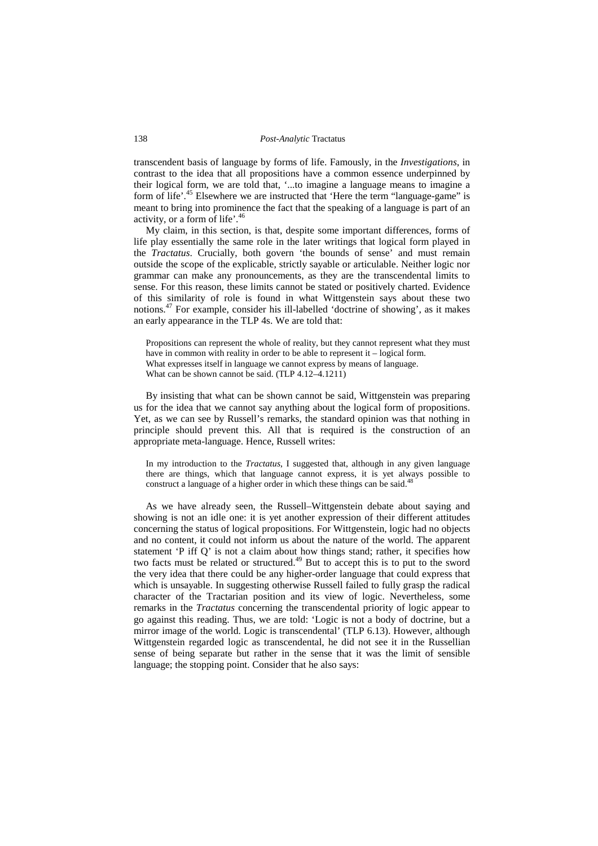transcendent basis of language by forms of life. Famously, in the *Investigations*, in contrast to the idea that all propositions have a common essence underpinned by their logical form, we are told that, '...to imagine a language means to imagine a form of life'.45 Elsewhere we are instructed that 'Here the term "language-game" is meant to bring into prominence the fact that the speaking of a language is part of an activity, or a form of life'.46

 My claim, in this section, is that, despite some important differences, forms of life play essentially the same role in the later writings that logical form played in the *Tractatus*. Crucially, both govern 'the bounds of sense' and must remain outside the scope of the explicable, strictly sayable or articulable. Neither logic nor grammar can make any pronouncements, as they are the transcendental limits to sense. For this reason, these limits cannot be stated or positively charted. Evidence of this similarity of role is found in what Wittgenstein says about these two notions.47 For example, consider his ill-labelled 'doctrine of showing', as it makes an early appearance in the TLP 4s. We are told that:

Propositions can represent the whole of reality, but they cannot represent what they must have in common with reality in order to be able to represent it – logical form. What expresses itself in language we cannot express by means of language. What can be shown cannot be said. (TLP 4.12–4.1211)

 By insisting that what can be shown cannot be said, Wittgenstein was preparing us for the idea that we cannot say anything about the logical form of propositions. Yet, as we can see by Russell's remarks, the standard opinion was that nothing in principle should prevent this. All that is required is the construction of an appropriate meta-language. Hence, Russell writes:

In my introduction to the *Tractatus*, I suggested that, although in any given language there are things, which that language cannot express, it is yet always possible to construct a language of a higher order in which these things can be said.<sup>48</sup>

 As we have already seen, the Russell–Wittgenstein debate about saying and showing is not an idle one: it is yet another expression of their different attitudes concerning the status of logical propositions. For Wittgenstein, logic had no objects and no content, it could not inform us about the nature of the world. The apparent statement 'P iff Q' is not a claim about how things stand; rather, it specifies how two facts must be related or structured.<sup>49</sup> But to accept this is to put to the sword the very idea that there could be any higher-order language that could express that which is unsayable. In suggesting otherwise Russell failed to fully grasp the radical character of the Tractarian position and its view of logic. Nevertheless, some remarks in the *Tractatus* concerning the transcendental priority of logic appear to go against this reading. Thus, we are told: 'Logic is not a body of doctrine, but a mirror image of the world. Logic is transcendental' (TLP 6.13). However, although Wittgenstein regarded logic as transcendental, he did not see it in the Russellian sense of being separate but rather in the sense that it was the limit of sensible language; the stopping point. Consider that he also says: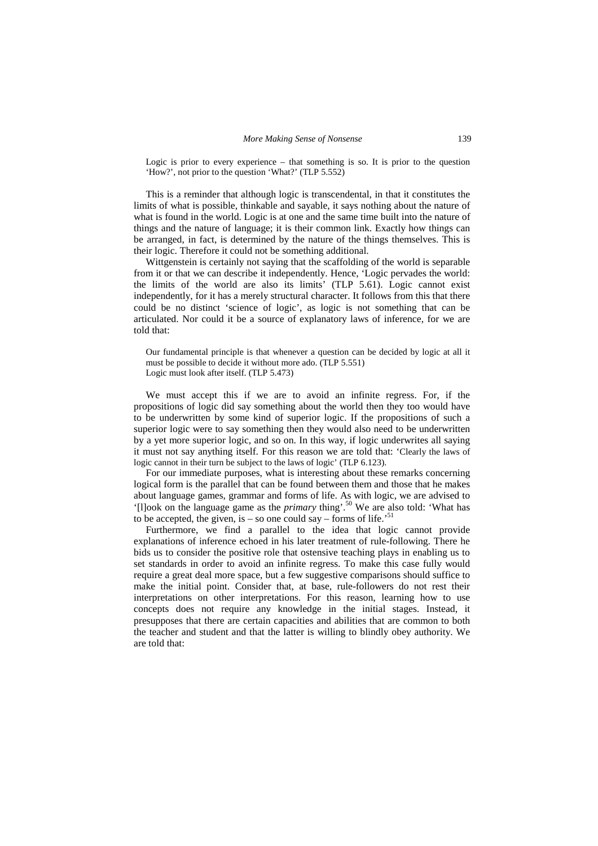Logic is prior to every experience – that something is so. It is prior to the question 'How?', not prior to the question 'What?' (TLP 5.552)

 This is a reminder that although logic is transcendental, in that it constitutes the limits of what is possible, thinkable and sayable, it says nothing about the nature of what is found in the world. Logic is at one and the same time built into the nature of things and the nature of language; it is their common link. Exactly how things can be arranged, in fact, is determined by the nature of the things themselves. This is their logic. Therefore it could not be something additional.

 Wittgenstein is certainly not saying that the scaffolding of the world is separable from it or that we can describe it independently. Hence, 'Logic pervades the world: the limits of the world are also its limits' (TLP 5.61). Logic cannot exist independently, for it has a merely structural character. It follows from this that there could be no distinct 'science of logic', as logic is not something that can be articulated. Nor could it be a source of explanatory laws of inference, for we are told that:

Our fundamental principle is that whenever a question can be decided by logic at all it must be possible to decide it without more ado. (TLP 5.551) Logic must look after itself. (TLP 5.473)

 We must accept this if we are to avoid an infinite regress. For, if the propositions of logic did say something about the world then they too would have to be underwritten by some kind of superior logic. If the propositions of such a superior logic were to say something then they would also need to be underwritten by a yet more superior logic, and so on. In this way, if logic underwrites all saying it must not say anything itself. For this reason we are told that: 'Clearly the laws of logic cannot in their turn be subject to the laws of logic' (TLP 6.123).

 For our immediate purposes, what is interesting about these remarks concerning logical form is the parallel that can be found between them and those that he makes about language games, grammar and forms of life. As with logic, we are advised to '[l]ook on the language game as the *primary* thing'.<sup>50</sup> We are also told: 'What has to be accepted, the given, is – so one could say – forms of life.<sup>5</sup>

 Furthermore, we find a parallel to the idea that logic cannot provide explanations of inference echoed in his later treatment of rule-following. There he bids us to consider the positive role that ostensive teaching plays in enabling us to set standards in order to avoid an infinite regress. To make this case fully would require a great deal more space, but a few suggestive comparisons should suffice to make the initial point. Consider that, at base, rule-followers do not rest their interpretations on other interpretations. For this reason, learning how to use concepts does not require any knowledge in the initial stages. Instead, it presupposes that there are certain capacities and abilities that are common to both the teacher and student and that the latter is willing to blindly obey authority. We are told that: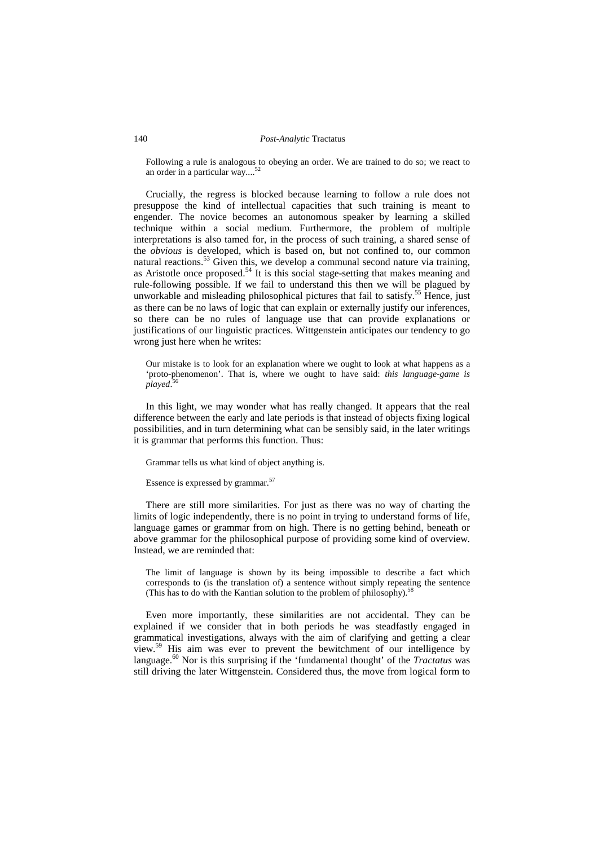Following a rule is analogous to obeying an order. We are trained to do so; we react to an order in a particular way... $^{52}$ 

 Crucially, the regress is blocked because learning to follow a rule does not presuppose the kind of intellectual capacities that such training is meant to engender. The novice becomes an autonomous speaker by learning a skilled technique within a social medium. Furthermore, the problem of multiple interpretations is also tamed for, in the process of such training, a shared sense of the *obvious* is developed, which is based on, but not confined to, our common natural reactions.<sup>53</sup> Given this, we develop a communal second nature via training, as Aristotle once proposed.<sup>54</sup> It is this social stage-setting that makes meaning and rule-following possible. If we fail to understand this then we will be plagued by unworkable and misleading philosophical pictures that fail to satisfy.<sup>55</sup> Hence, just as there can be no laws of logic that can explain or externally justify our inferences, so there can be no rules of language use that can provide explanations or justifications of our linguistic practices. Wittgenstein anticipates our tendency to go wrong just here when he writes:

Our mistake is to look for an explanation where we ought to look at what happens as a 'proto-phenomenon'. That is, where we ought to have said: *this language-game is played*. 56

 In this light, we may wonder what has really changed. It appears that the real difference between the early and late periods is that instead of objects fixing logical possibilities, and in turn determining what can be sensibly said, in the later writings it is grammar that performs this function. Thus:

Grammar tells us what kind of object anything is.

Essence is expressed by grammar.<sup>57</sup>

 There are still more similarities. For just as there was no way of charting the limits of logic independently, there is no point in trying to understand forms of life, language games or grammar from on high. There is no getting behind, beneath or above grammar for the philosophical purpose of providing some kind of overview. Instead, we are reminded that:

The limit of language is shown by its being impossible to describe a fact which corresponds to (is the translation of) a sentence without simply repeating the sentence (This has to do with the Kantian solution to the problem of philosophy).<sup>58</sup>

 Even more importantly, these similarities are not accidental. They can be explained if we consider that in both periods he was steadfastly engaged in grammatical investigations, always with the aim of clarifying and getting a clear view.59 His aim was ever to prevent the bewitchment of our intelligence by language.<sup>60</sup> Nor is this surprising if the 'fundamental thought' of the *Tractatus* was still driving the later Wittgenstein. Considered thus, the move from logical form to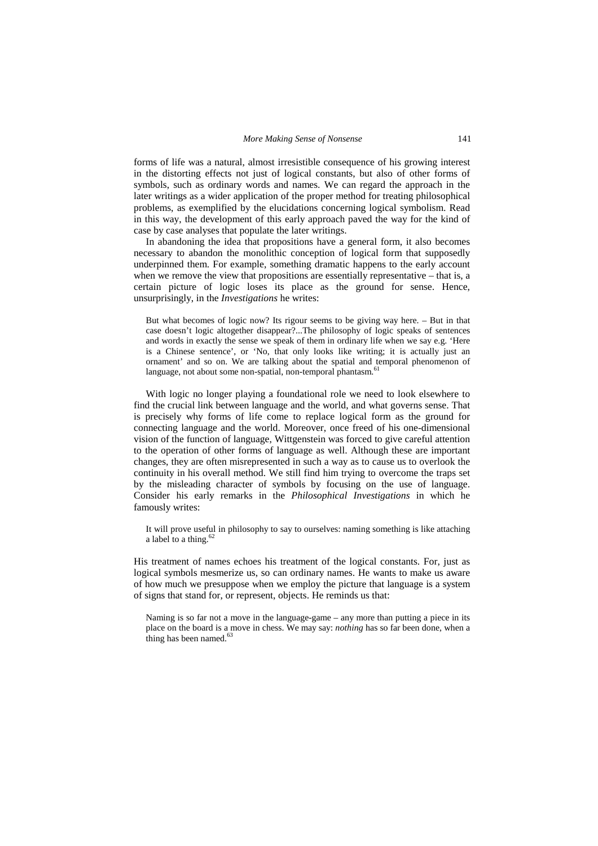forms of life was a natural, almost irresistible consequence of his growing interest in the distorting effects not just of logical constants, but also of other forms of symbols, such as ordinary words and names. We can regard the approach in the later writings as a wider application of the proper method for treating philosophical problems, as exemplified by the elucidations concerning logical symbolism. Read in this way, the development of this early approach paved the way for the kind of case by case analyses that populate the later writings.

 In abandoning the idea that propositions have a general form, it also becomes necessary to abandon the monolithic conception of logical form that supposedly underpinned them. For example, something dramatic happens to the early account when we remove the view that propositions are essentially representative – that is, a certain picture of logic loses its place as the ground for sense. Hence, unsurprisingly, in the *Investigations* he writes:

But what becomes of logic now? Its rigour seems to be giving way here. – But in that case doesn't logic altogether disappear?...The philosophy of logic speaks of sentences and words in exactly the sense we speak of them in ordinary life when we say e.g. 'Here is a Chinese sentence', or 'No, that only looks like writing; it is actually just an ornament' and so on. We are talking about the spatial and temporal phenomenon of language, not about some non-spatial, non-temporal phantasm.<sup>61</sup>

 With logic no longer playing a foundational role we need to look elsewhere to find the crucial link between language and the world, and what governs sense. That is precisely why forms of life come to replace logical form as the ground for connecting language and the world. Moreover, once freed of his one-dimensional vision of the function of language, Wittgenstein was forced to give careful attention to the operation of other forms of language as well. Although these are important changes, they are often misrepresented in such a way as to cause us to overlook the continuity in his overall method. We still find him trying to overcome the traps set by the misleading character of symbols by focusing on the use of language. Consider his early remarks in the *Philosophical Investigations* in which he famously writes:

It will prove useful in philosophy to say to ourselves: naming something is like attaching a label to a thing.<sup>62</sup>

His treatment of names echoes his treatment of the logical constants. For, just as logical symbols mesmerize us, so can ordinary names. He wants to make us aware of how much we presuppose when we employ the picture that language is a system of signs that stand for, or represent, objects. He reminds us that:

Naming is so far not a move in the language-game – any more than putting a piece in its place on the board is a move in chess. We may say: *nothing* has so far been done, when a thing has been named. $6$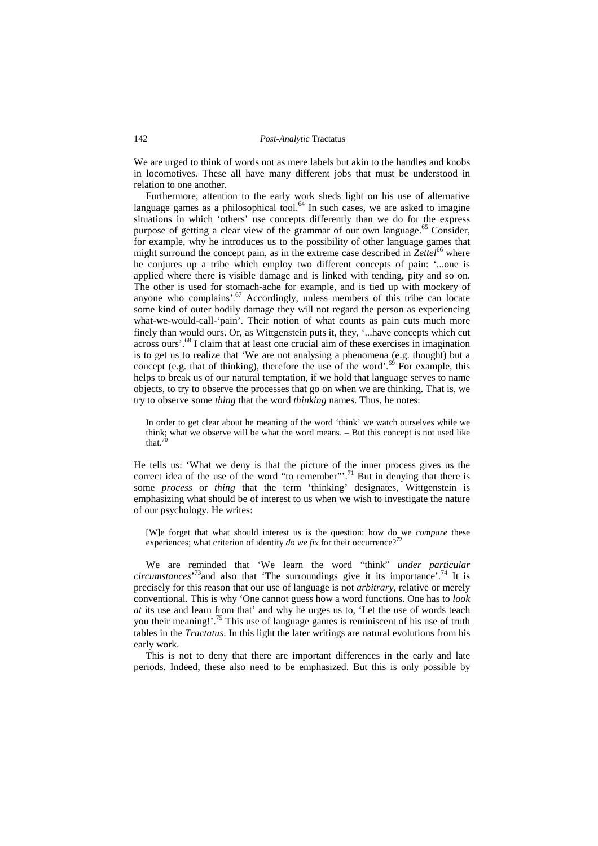We are urged to think of words not as mere labels but akin to the handles and knobs in locomotives. These all have many different jobs that must be understood in relation to one another.

 Furthermore, attention to the early work sheds light on his use of alternative language games as a philosophical tool.<sup>64</sup> In such cases, we are asked to imagine situations in which 'others' use concepts differently than we do for the express purpose of getting a clear view of the grammar of our own language.<sup>65</sup> Consider, for example, why he introduces us to the possibility of other language games that might surround the concept pain, as in the extreme case described in Zettel<sup>66</sup> where he conjures up a tribe which employ two different concepts of pain: '...one is applied where there is visible damage and is linked with tending, pity and so on. The other is used for stomach-ache for example, and is tied up with mockery of anyone who complains'.<sup>67</sup> Accordingly, unless members of this tribe can locate some kind of outer bodily damage they will not regard the person as experiencing what-we-would-call-'pain'. Their notion of what counts as pain cuts much more finely than would ours. Or, as Wittgenstein puts it, they, '...have concepts which cut across ours'.68 I claim that at least one crucial aim of these exercises in imagination is to get us to realize that 'We are not analysing a phenomena (e.g. thought) but a concept (e.g. that of thinking), therefore the use of the word'.<sup>69</sup> For example, this helps to break us of our natural temptation, if we hold that language serves to name objects, to try to observe the processes that go on when we are thinking. That is, we try to observe some *thing* that the word *thinking* names. Thus, he notes:

In order to get clear about he meaning of the word 'think' we watch ourselves while we think; what we observe will be what the word means. – But this concept is not used like that.<sup>70</sup>

He tells us: 'What we deny is that the picture of the inner process gives us the correct idea of the use of the word "to remember"'.<sup>71</sup> But in denying that there is some *process* or *thing* that the term 'thinking' designates, Wittgenstein is emphasizing what should be of interest to us when we wish to investigate the nature of our psychology. He writes:

[W]e forget that what should interest us is the question: how do we *compare* these experiences; what criterion of identity *do we fix* for their occurrence?<sup>72</sup>

 We are reminded that 'We learn the word "think" *under particular circumstances*' 73and also that 'The surroundings give it its importance'.74 It is precisely for this reason that our use of language is not *arbitrary*, relative or merely conventional. This is why 'One cannot guess how a word functions. One has to *look at* its use and learn from that' and why he urges us to, 'Let the use of words teach you their meaning!'.75 This use of language games is reminiscent of his use of truth tables in the *Tractatus*. In this light the later writings are natural evolutions from his early work.

 This is not to deny that there are important differences in the early and late periods. Indeed, these also need to be emphasized. But this is only possible by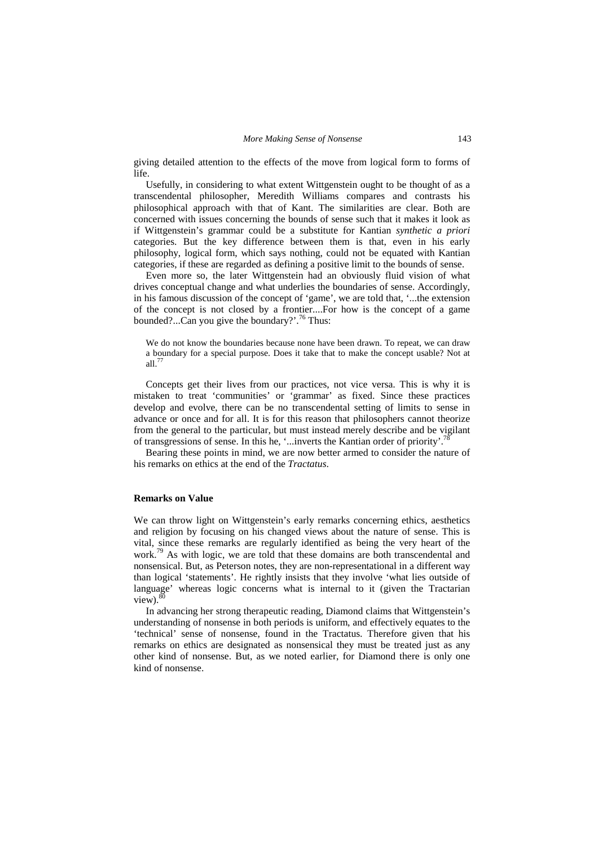giving detailed attention to the effects of the move from logical form to forms of life.

 Usefully, in considering to what extent Wittgenstein ought to be thought of as a transcendental philosopher, Meredith Williams compares and contrasts his philosophical approach with that of Kant. The similarities are clear. Both are concerned with issues concerning the bounds of sense such that it makes it look as if Wittgenstein's grammar could be a substitute for Kantian *synthetic a priori* categories. But the key difference between them is that, even in his early philosophy, logical form, which says nothing, could not be equated with Kantian categories, if these are regarded as defining a positive limit to the bounds of sense.

 Even more so, the later Wittgenstein had an obviously fluid vision of what drives conceptual change and what underlies the boundaries of sense. Accordingly, in his famous discussion of the concept of 'game', we are told that, '...the extension of the concept is not closed by a frontier....For how is the concept of a game bounded?...Can you give the boundary?'.<sup>76</sup> Thus:

We do not know the boundaries because none have been drawn. To repeat, we can draw a boundary for a special purpose. Does it take that to make the concept usable? Not at all. $77$ 

Concepts get their lives from our practices, not vice versa. This is why it is mistaken to treat 'communities' or 'grammar' as fixed. Since these practices develop and evolve, there can be no transcendental setting of limits to sense in advance or once and for all. It is for this reason that philosophers cannot theorize from the general to the particular, but must instead merely describe and be vigilant of transgressions of sense. In this he, '...inverts the Kantian order of priority'.

Bearing these points in mind, we are now better armed to consider the nature of his remarks on ethics at the end of the *Tractatus*.

#### **Remarks on Value**

We can throw light on Wittgenstein's early remarks concerning ethics, aesthetics and religion by focusing on his changed views about the nature of sense. This is vital, since these remarks are regularly identified as being the very heart of the work.<sup>79</sup> As with logic, we are told that these domains are both transcendental and nonsensical. But, as Peterson notes, they are non-representational in a different way than logical 'statements'. He rightly insists that they involve 'what lies outside of language' whereas logic concerns what is internal to it (given the Tractarian view). $8^{\circ}$ 

 In advancing her strong therapeutic reading, Diamond claims that Wittgenstein's understanding of nonsense in both periods is uniform, and effectively equates to the 'technical' sense of nonsense, found in the Tractatus. Therefore given that his remarks on ethics are designated as nonsensical they must be treated just as any other kind of nonsense. But, as we noted earlier, for Diamond there is only one kind of nonsense.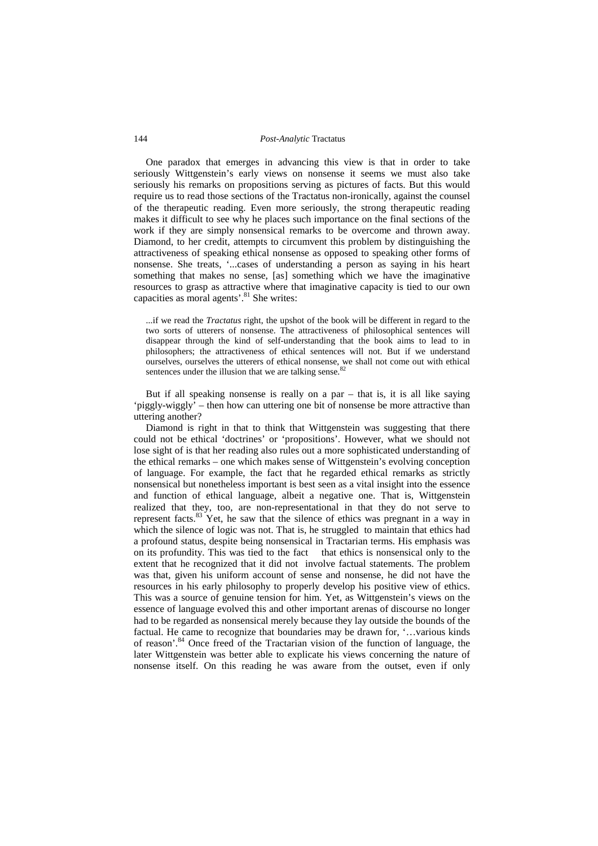One paradox that emerges in advancing this view is that in order to take seriously Wittgenstein's early views on nonsense it seems we must also take seriously his remarks on propositions serving as pictures of facts. But this would require us to read those sections of the Tractatus non-ironically, against the counsel of the therapeutic reading. Even more seriously, the strong therapeutic reading makes it difficult to see why he places such importance on the final sections of the work if they are simply nonsensical remarks to be overcome and thrown away. Diamond, to her credit, attempts to circumvent this problem by distinguishing the attractiveness of speaking ethical nonsense as opposed to speaking other forms of nonsense. She treats, '...cases of understanding a person as saying in his heart something that makes no sense, [as] something which we have the imaginative resources to grasp as attractive where that imaginative capacity is tied to our own capacities as moral agents'. $81$  She writes:

...if we read the *Tractatus* right, the upshot of the book will be different in regard to the two sorts of utterers of nonsense. The attractiveness of philosophical sentences will disappear through the kind of self-understanding that the book aims to lead to in philosophers; the attractiveness of ethical sentences will not. But if we understand ourselves, ourselves the utterers of ethical nonsense, we shall not come out with ethical sentences under the illusion that we are talking sense. $82$ 

But if all speaking nonsense is really on a par  $-$  that is, it is all like saying 'piggly-wiggly' – then how can uttering one bit of nonsense be more attractive than uttering another?

 Diamond is right in that to think that Wittgenstein was suggesting that there could not be ethical 'doctrines' or 'propositions'. However, what we should not lose sight of is that her reading also rules out a more sophisticated understanding of the ethical remarks – one which makes sense of Wittgenstein's evolving conception of language. For example, the fact that he regarded ethical remarks as strictly nonsensical but nonetheless important is best seen as a vital insight into the essence and function of ethical language, albeit a negative one. That is, Wittgenstein realized that they, too, are non-representational in that they do not serve to represent facts.83 Yet, he saw that the silence of ethics was pregnant in a way in which the silence of logic was not. That is, he struggled to maintain that ethics had a profound status, despite being nonsensical in Tractarian terms. His emphasis was on its profundity. This was tied to the fact that ethics is nonsensical only to the extent that he recognized that it did not involve factual statements. The problem was that, given his uniform account of sense and nonsense, he did not have the resources in his early philosophy to properly develop his positive view of ethics. This was a source of genuine tension for him. Yet, as Wittgenstein's views on the essence of language evolved this and other important arenas of discourse no longer had to be regarded as nonsensical merely because they lay outside the bounds of the factual. He came to recognize that boundaries may be drawn for, '…various kinds of reason'.84 Once freed of the Tractarian vision of the function of language, the later Wittgenstein was better able to explicate his views concerning the nature of nonsense itself. On this reading he was aware from the outset, even if only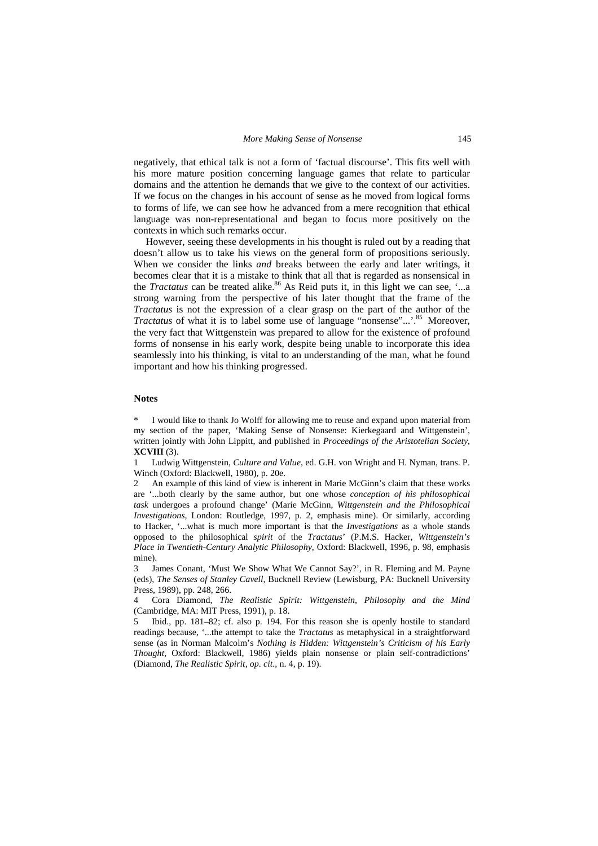negatively, that ethical talk is not a form of 'factual discourse'. This fits well with his more mature position concerning language games that relate to particular domains and the attention he demands that we give to the context of our activities. If we focus on the changes in his account of sense as he moved from logical forms to forms of life, we can see how he advanced from a mere recognition that ethical language was non-representational and began to focus more positively on the contexts in which such remarks occur.

 However, seeing these developments in his thought is ruled out by a reading that doesn't allow us to take his views on the general form of propositions seriously. When we consider the links *and* breaks between the early and later writings, it becomes clear that it is a mistake to think that all that is regarded as nonsensical in the *Tractatus* can be treated alike. <sup>86</sup> As Reid puts it, in this light we can see, '...a strong warning from the perspective of his later thought that the frame of the *Tractatus* is not the expression of a clear grasp on the part of the author of the *Tractatus* of what it is to label some use of language "nonsense"...'.<sup>85</sup> Moreover, the very fact that Wittgenstein was prepared to allow for the existence of profound forms of nonsense in his early work, despite being unable to incorporate this idea seamlessly into his thinking, is vital to an understanding of the man, what he found important and how his thinking progressed.

#### **Notes**

\* I would like to thank Jo Wolff for allowing me to reuse and expand upon material from my section of the paper, 'Making Sense of Nonsense: Kierkegaard and Wittgenstein', written jointly with John Lippitt, and published in *Proceedings of the Aristotelian Society*, **XCVIII** (3).

1 Ludwig Wittgenstein, *Culture and Value*, ed. G.H. von Wright and H. Nyman, trans. P. Winch (Oxford: Blackwell, 1980), p. 20e.

2 An example of this kind of view is inherent in Marie McGinn's claim that these works are '...both clearly by the same author, but one whose *conception of his philosophical task* undergoes a profound change' (Marie McGinn, *Wittgenstein and the Philosophical Investigations*, London: Routledge, 1997, p. 2, emphasis mine). Or similarly, according to Hacker, '...what is much more important is that the *Investigations* as a whole stands opposed to the philosophical *spirit* of the *Tractatus*' (P.M.S. Hacker, *Wittgenstein's Place in Twentieth-Century Analytic Philosophy*, Oxford: Blackwell, 1996, p. 98, emphasis mine).

3 James Conant, 'Must We Show What We Cannot Say?', in R. Fleming and M. Payne (eds), *The Senses of Stanley Cavell*, Bucknell Review (Lewisburg, PA: Bucknell University Press, 1989), pp. 248, 266.

4 Cora Diamond, *The Realistic Spirit: Wittgenstein, Philosophy and the Mind* (Cambridge, MA: MIT Press, 1991), p. 18.

5 Ibid., pp. 181–82; cf. also p. 194. For this reason she is openly hostile to standard readings because, '...the attempt to take the *Tractatus* as metaphysical in a straightforward sense (as in Norman Malcolm's *Nothing is Hidden: Wittgenstein's Criticism of his Early Thought*, Oxford: Blackwell, 1986) yields plain nonsense or plain self-contradictions' (Diamond, *The Realistic Spirit*, *op. cit*., n. 4, p. 19).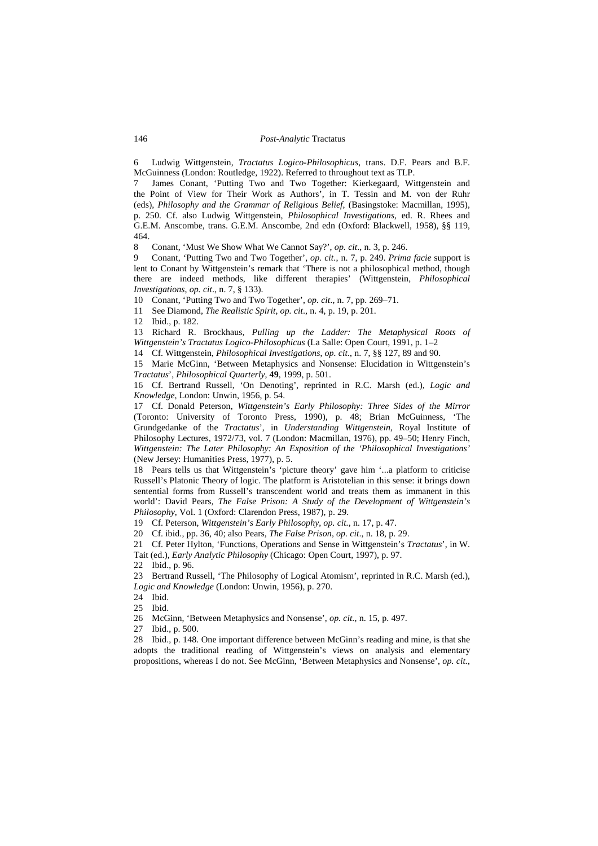6 Ludwig Wittgenstein, *Tractatus Logico-Philosophicus*, trans. D.F. Pears and B.F. McGuinness (London: Routledge, 1922). Referred to throughout text as TLP.

7 James Conant, 'Putting Two and Two Together: Kierkegaard, Wittgenstein and the Point of View for Their Work as Authors', in T. Tessin and M. von der Ruhr (eds), *Philosophy and the Grammar of Religious Belief*, (Basingstoke: Macmillan, 1995), p. 250. Cf. also Ludwig Wittgenstein, *Philosophical Investigations*, ed. R. Rhees and G.E.M. Anscombe, trans. G.E.M. Anscombe, 2nd edn (Oxford: Blackwell, 1958), §§ 119, 464.

8 Conant, 'Must We Show What We Cannot Say?', *op. cit*., n. 3, p. 246.

9 Conant, 'Putting Two and Two Together', *op. cit*., n. 7, p. 249. *Prima facie* support is lent to Conant by Wittgenstein's remark that 'There is not a philosophical method, though there are indeed methods, like different therapies' (Wittgenstein, *Philosophical Investigations*, *op. cit*., n. 7, § 133).

10 Conant, 'Putting Two and Two Together', *op. cit*., n. 7, pp. 269–71.

11 See Diamond, *The Realistic Spirit*, *op. cit*., n. 4, p. 19, p. 201.

12 Ibid., p. 182.

13 Richard R. Brockhaus, *Pulling up the Ladder: The Metaphysical Roots of Wittgenstein's Tractatus Logico-Philosophicus* (La Salle: Open Court, 1991, p. 1–2

14 Cf. Wittgenstein, *Philosophical Investigations*, *op. cit*., n. 7, §§ 127, 89 and 90.

15 Marie McGinn, 'Between Metaphysics and Nonsense: Elucidation in Wittgenstein's *Tractatus*', *Philosophical Quarterly*, **49**, 1999, p. 501.

16 Cf. Bertrand Russell, 'On Denoting', reprinted in R.C. Marsh (ed.), *Logic and Knowledge*, London: Unwin, 1956, p. 54.

17 Cf. Donald Peterson, *Wittgenstein's Early Philosophy: Three Sides of the Mirror*  (Toronto: University of Toronto Press, 1990), p. 48; Brian McGuinness, 'The Grundgedanke of the *Tractatus*', in *Understanding Wittgenstein*, Royal Institute of Philosophy Lectures, 1972/73, vol. 7 (London: Macmillan, 1976), pp. 49–50; Henry Finch, *Wittgenstein: The Later Philosophy: An Exposition of the 'Philosophical Investigations'* (New Jersey: Humanities Press, 1977), p. 5.

18 Pears tells us that Wittgenstein's 'picture theory' gave him '...a platform to criticise Russell's Platonic Theory of logic. The platform is Aristotelian in this sense: it brings down sentential forms from Russell's transcendent world and treats them as immanent in this world': David Pears, *The False Prison: A Study of the Development of Wittgenstein's Philosophy*, Vol. 1 (Oxford: Clarendon Press, 1987), p. 29.

19 Cf. Peterson, *Wittgenstein's Early Philosophy*, *op. cit.*, n. 17, p. 47.

20 Cf. ibid., pp. 36, 40; also Pears, *The False Prison*, *op. cit*., n. 18, p. 29.

21 Cf. Peter Hylton, 'Functions, Operations and Sense in Wittgenstein's *Tractatus*', in W. Tait (ed.), *Early Analytic Philosophy* (Chicago: Open Court, 1997), p. 97.

22 Ibid., p. 96.

23 Bertrand Russell, 'The Philosophy of Logical Atomism', reprinted in R.C. Marsh (ed.), *Logic and Knowledge* (London: Unwin, 1956), p. 270.

24 Ibid.

25 Ibid.

26 McGinn, 'Between Metaphysics and Nonsense', *op. cit.*, n. 15, p. 497.

27 Ibid., p. 500.

28 Ibid., p. 148. One important difference between McGinn's reading and mine, is that she adopts the traditional reading of Wittgenstein's views on analysis and elementary propositions, whereas I do not. See McGinn, 'Between Metaphysics and Nonsense', *op. cit.*,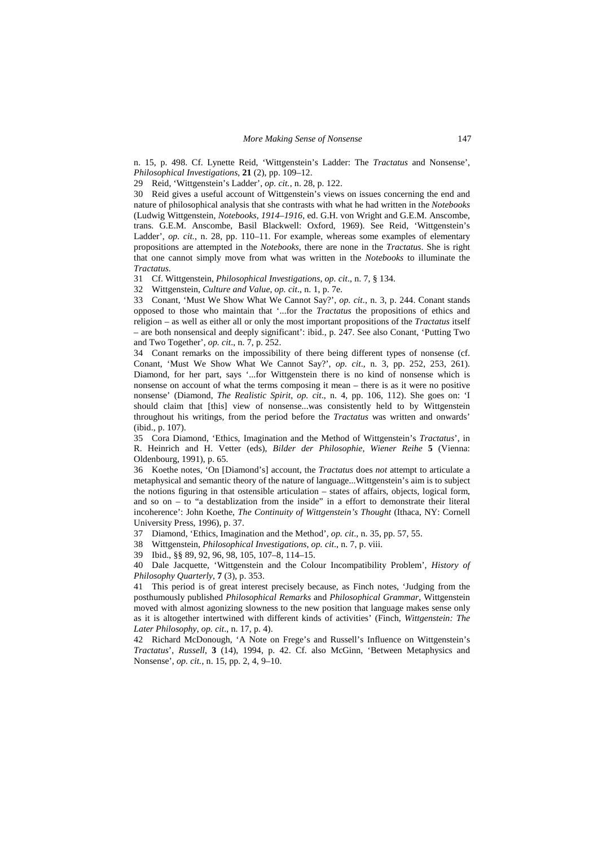n. 15, p. 498. Cf. Lynette Reid, 'Wittgenstein's Ladder: The *Tractatus* and Nonsense', *Philosophical Investigations*, **21** (2), pp. 109–12.

29 Reid, 'Wittgenstein's Ladder', *op. cit.*, n. 28, p. 122.

30 Reid gives a useful account of Wittgenstein's views on issues concerning the end and nature of philosophical analysis that she contrasts with what he had written in the *Notebooks* (Ludwig Wittgenstein, *Notebooks, 1914–1916*, ed. G.H. von Wright and G.E.M. Anscombe, trans. G.E.M. Anscombe, Basil Blackwell: Oxford, 1969). See Reid, 'Wittgenstein's Ladder', *op. cit.*, n. 28, pp. 110–11. For example, whereas some examples of elementary propositions are attempted in the *Notebooks*, there are none in the *Tractatus*. She is right that one cannot simply move from what was written in the *Notebooks* to illuminate the *Tractatus*.

31 Cf. Wittgenstein, *Philosophical Investigations*, *op. cit*., n. 7, § 134.

32 Wittgenstein, *Culture and Value*, *op. cit*., n. 1, p. 7e.

33 Conant, 'Must We Show What We Cannot Say?', *op. cit*., n. 3, p. 244. Conant stands opposed to those who maintain that '...for the *Tractatus* the propositions of ethics and religion – as well as either all or only the most important propositions of the *Tractatus* itself – are both nonsensical and deeply significant': ibid., p. 247. See also Conant, 'Putting Two and Two Together', *op. cit*., n. 7, p. 252.

34 Conant remarks on the impossibility of there being different types of nonsense (cf. Conant, 'Must We Show What We Cannot Say?', *op. cit*., n. 3, pp. 252, 253, 261). Diamond, for her part, says '...for Wittgenstein there is no kind of nonsense which is nonsense on account of what the terms composing it mean – there is as it were no positive nonsense' (Diamond, *The Realistic Spirit*, *op. cit*., n. 4, pp. 106, 112). She goes on: 'I should claim that [this] view of nonsense...was consistently held to by Wittgenstein throughout his writings, from the period before the *Tractatus* was written and onwards' (ibid., p. 107).

35 Cora Diamond, 'Ethics, Imagination and the Method of Wittgenstein's *Tractatus*', in R. Heinrich and H. Vetter (eds), *Bilder der Philosophie, Wiener Reihe* **5** (Vienna: Oldenbourg, 1991), p. 65.

36 Koethe notes, 'On [Diamond's] account, the *Tractatus* does *not* attempt to articulate a metaphysical and semantic theory of the nature of language...Wittgenstein's aim is to subject the notions figuring in that ostensible articulation – states of affairs, objects, logical form, and so on  $-$  to "a destablization from the inside" in a effort to demonstrate their literal incoherence': John Koethe, *The Continuity of Wittgenstein's Thought* (Ithaca, NY: Cornell University Press, 1996), p. 37.

37 Diamond, 'Ethics, Imagination and the Method', *op. cit*., n. 35, pp. 57, 55.

38 Wittgenstein, *Philosophical Investigations*, *op. cit*., n. 7, p. viii.

39 Ibid., §§ 89, 92, 96, 98, 105, 107–8, 114–15.

40 Dale Jacquette, 'Wittgenstein and the Colour Incompatibility Problem', *History of Philosophy Quarterly*, **7** (3), p. 353.

41 This period is of great interest precisely because, as Finch notes, 'Judging from the posthumously published *Philosophical Remarks* and *Philosophical Grammar*, Wittgenstein moved with almost agonizing slowness to the new position that language makes sense only as it is altogether intertwined with different kinds of activities' (Finch, *Wittgenstein: The Later Philosophy*, *op. cit*., n. 17, p. 4).

42 Richard McDonough, 'A Note on Frege's and Russell's Influence on Wittgenstein's *Tractatus*', *Russell*, **3** (14), 1994, p. 42. Cf. also McGinn, 'Between Metaphysics and Nonsense', *op. cit.*, n. 15, pp. 2, 4, 9–10.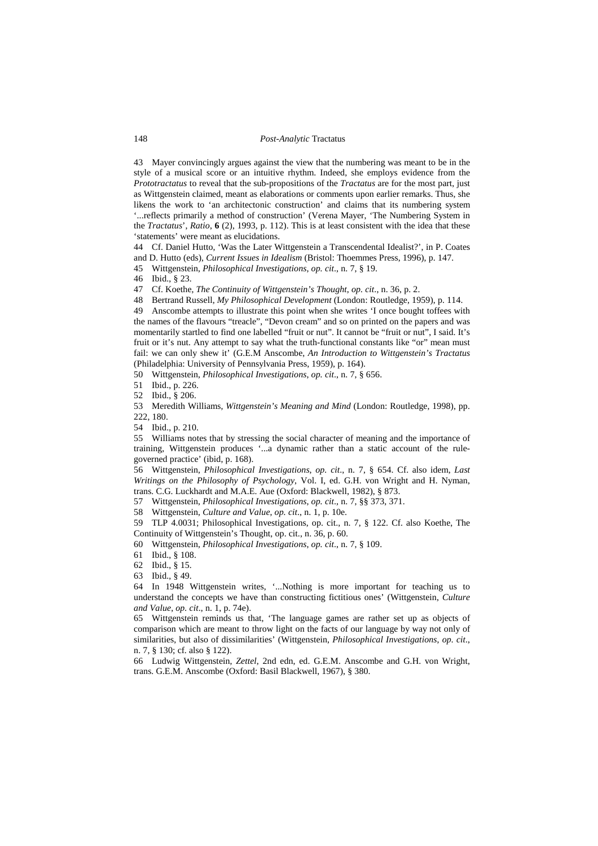43 Mayer convincingly argues against the view that the numbering was meant to be in the style of a musical score or an intuitive rhythm. Indeed, she employs evidence from the *Prototractatus* to reveal that the sub-propositions of the *Tractatus* are for the most part, just as Wittgenstein claimed, meant as elaborations or comments upon earlier remarks. Thus, she likens the work to 'an architectonic construction' and claims that its numbering system '...reflects primarily a method of construction' (Verena Mayer, 'The Numbering System in the *Tractatus*', *Ratio*, **6** (2), 1993, p. 112). This is at least consistent with the idea that these 'statements' were meant as elucidations.

44 Cf. Daniel Hutto, 'Was the Later Wittgenstein a Transcendental Idealist?', in P. Coates and D. Hutto (eds), *Current Issues in Idealism* (Bristol: Thoemmes Press, 1996), p. 147.

45 Wittgenstein, *Philosophical Investigations*, *op. cit*., n. 7, § 19.

46 Ibid., § 23.

47 Cf. Koethe, *The Continuity of Wittgenstein's Thought*, *op. cit*., n. 36, p. 2.

48 Bertrand Russell, *My Philosophical Development* (London: Routledge, 1959), p. 114.

49 Anscombe attempts to illustrate this point when she writes 'I once bought toffees with the names of the flavours "treacle", "Devon cream" and so on printed on the papers and was momentarily startled to find one labelled "fruit or nut". It cannot be "fruit or nut", I said. It's fruit or it's nut. Any attempt to say what the truth-functional constants like "or" mean must fail: we can only shew it' (G.E.M Anscombe, *An Introduction to Wittgenstein's Tractatus* (Philadelphia: University of Pennsylvania Press, 1959), p. 164).

50 Wittgenstein, *Philosophical Investigations*, *op. cit*., n. 7, § 656.

51 Ibid., p. 226.

52 Ibid., § 206.

53 Meredith Williams, *Wittgenstein's Meaning and Mind* (London: Routledge, 1998), pp. 222, 180.

54 Ibid., p. 210.

55 Williams notes that by stressing the social character of meaning and the importance of training, Wittgenstein produces '...a dynamic rather than a static account of the rulegoverned practice' (ibid, p. 168).

56 Wittgenstein, *Philosophical Investigations*, *op. cit*., n. 7, § 654. Cf. also idem, *Last Writings on the Philosophy of Psychology*, Vol. I, ed. G.H. von Wright and H. Nyman, trans. C.G. Luckhardt and M.A.E. Aue (Oxford: Blackwell, 1982), § 873.

57 Wittgenstein, *Philosophical Investigations*, *op. cit*., n. 7, §§ 373, 371.

58 Wittgenstein, *Culture and Value*, *op. cit*., n. 1, p. 10e.

59 TLP 4.0031; Philosophical Investigations, op. cit., n. 7, § 122. Cf. also Koethe, The Continuity of Wittgenstein's Thought, op. cit., n. 36, p. 60.

60 Wittgenstein, *Philosophical Investigations*, *op. cit*., n. 7, § 109.

61 Ibid., § 108.

62 Ibid., § 15.

63 Ibid., § 49.

64 In 1948 Wittgenstein writes, '...Nothing is more important for teaching us to understand the concepts we have than constructing fictitious ones' (Wittgenstein, *Culture and Value*, *op. cit*., n. 1, p. 74e).

65 Wittgenstein reminds us that, 'The language games are rather set up as objects of comparison which are meant to throw light on the facts of our language by way not only of similarities, but also of dissimilarities' (Wittgenstein, *Philosophical Investigations*, *op. cit*., n. 7, § 130; cf. also § 122).

66 Ludwig Wittgenstein, *Zettel*, 2nd edn, ed. G.E.M. Anscombe and G.H. von Wright, trans. G.E.M. Anscombe (Oxford: Basil Blackwell, 1967), § 380.